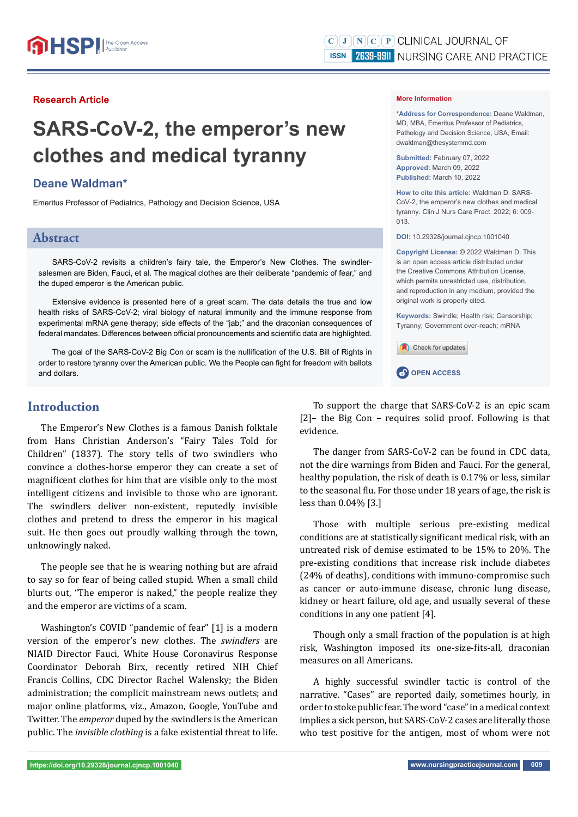#### **Research Article**

# **SARS-CoV-2, the emperor's new clothes and medical tyranny**

### **Deane Waldman\***

Emeritus Professor of Pediatrics, Pathology and Decision Science, USA

### **Abstract**

SARS-CoV-2 revisits a children's fairy tale, the Emperor's New Clothes. The swindlersalesmen are Biden, Fauci, et al. The magical clothes are their deliberate "pandemic of fear," and the duped emperor is the American public.

Extensive evidence is presented here of a great scam. The data details the true and low health risks of SARS-CoV-2; viral biology of natural immunity and the immune response from experimental mRNA gene therapy; side effects of the "jab;" and the draconian consequences of federal mandates. Differences between official pronouncements and scientific data are highlighted.

The goal of the SARS-CoV-2 Big Con or scam is the nullification of the U.S. Bill of Rights in order to restore tyranny over the American public. We the People can fight for freedom with ballots and dollars.

#### **Introduction**

The Emperor's New Clothes is a famous Danish folktale from Hans Christian Anderson's "Fairy Tales Told for Children" (1837). The story tells of two swindlers who convince a clothes-horse emperor they can create a set of magnificent clothes for him that are visible only to the most intelligent citizens and invisible to those who are ignorant. The swindlers deliver non-existent, reputedly invisible clothes and pretend to dress the emperor in his magical suit. He then goes out proudly walking through the town, unknowingly naked.

The people see that he is wearing nothing but are afraid to say so for fear of being called stupid. When a small child blurts out, "The emperor is naked," the people realize they and the emperor are victims of a scam.

Washington's COVID "pandemic of fear" [1] is a modern version of the emperor's new clothes. The *swindlers* are NIAID Director Fauci, White House Coronavirus Response Coordinator Deborah Birx, recently retired NIH Chief Francis Collins, CDC Director Rachel Walensky; the Biden administration; the complicit mainstream news outlets; and major online platforms, viz., Amazon, Google, YouTube and Twitter. The *emperor* duped by the swindlers is the American public. The *invisible clothing* is a fake existential threat to life.

#### **More Information**

**\*Address for Correspondence:** Deane Waldman, MD, MBA, Emeritus Professor of Pediatrics, Pathology and Decision Science, USA, Email: dwaldman@thesystemmd.com

**Submitted:** February 07, 2022 **Approved:** March 09, 2022 **Published:** March 10, 2022

**How to cite this article:** Waldman D. SARS-CoV-2, the emperor's new clothes and medical tyranny. Clin J Nurs Care Pract. 2022; 6: 009- 013.

**DOI:** 10.29328/journal.cjncp.1001040

**Copyright License: ©** 2022 Waldman D. This is an open access article distributed under the Creative Commons Attribution License, which permits unrestricted use, distribution, and reproduction in any medium, provided the original work is properly cited.

**Keywords:** Swindle; Health risk; Censorship; Tyranny; Government over-reach; mRNA



**CP** OPEN ACCESS

To support the charge that SARS-CoV-2 is an epic scam [2]– the Big Con – requires solid proof. Following is that evidence.

The danger from SARS-CoV-2 can be found in CDC data, not the dire warnings from Biden and Fauci. For the general, healthy population, the risk of death is 0.17% or less, similar to the seasonal flu. For those under 18 years of age, the risk is less than 0.04% [3.]

Those with multiple serious pre-existing medical conditions are at statistically significant medical risk, with an untreated risk of demise estimated to be 15% to 20%. The pre-existing conditions that increase risk include diabetes (24% of deaths), conditions with immuno-compromise such as cancer or auto-immune disease, chronic lung disease, kidney or heart failure, old age, and usually several of these conditions in any one patient [4].

Though only a small fraction of the population is at high risk, Washington imposed its one-size-fits-all, draconian measures on all Americans.

A highly successful swindler tactic is control of the narrative. "Cases" are reported daily, sometimes hourly, in order to stoke public fear. The word "case" in a medical context implies a sick person, but SARS-CoV-2 cases are literally those who test positive for the antigen, most of whom were not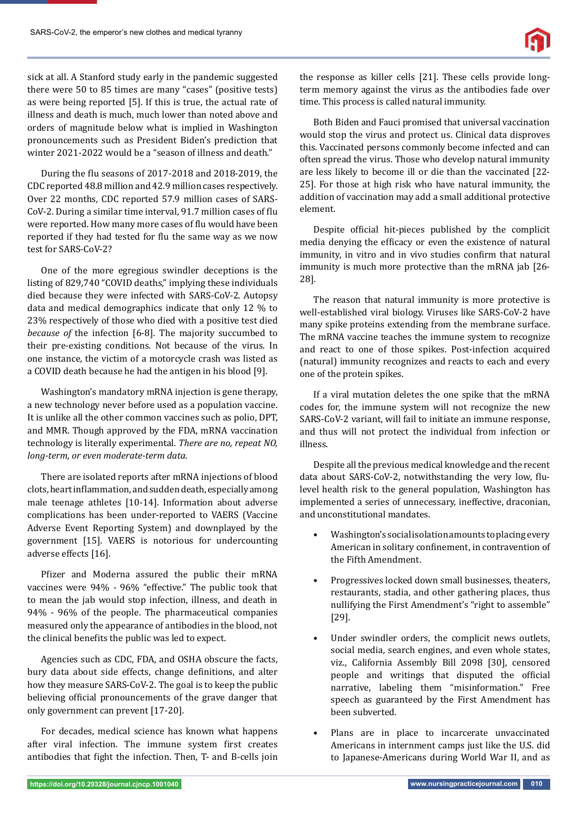sick at all. A Stanford study early in the pandemic suggested there were 50 to 85 times are many "cases" (positive tests) as were being reported [5]. If this is true, the actual rate of illness and death is much, much lower than noted above and orders of magnitude below what is implied in Washington pronouncements such as President Biden's prediction that winter 2021-2022 would be a "season of illness and death."

During the ϐlu seasons of 2017-2018 and 2018-2019, the CDC reported 48.8 million and 42.9 million cases respectively. Over 22 months, CDC reported 57.9 million cases of SARS-CoV-2. During a similar time interval, 91.7 million cases of flu were reported. How many more cases of flu would have been reported if they had tested for flu the same way as we now test for SARS-CoV-2?

One of the more egregious swindler deceptions is the listing of 829,740 "COVID deaths," implying these individuals died because they were infected with SARS-CoV-2. Autopsy data and medical demographics indicate that only 12 % to 23% respectively of those who died with a positive test died *because of* the infection [6-8]. The majority succumbed to their pre-existing conditions. Not because of the virus. In one instance, the victim of a motorcycle crash was listed as a COVID death because he had the antigen in his blood [9].

Washington's mandatory mRNA injection is gene therapy, a new technology never before used as a population vaccine. It is unlike all the other common vaccines such as polio, DPT, and MMR. Though approved by the FDA, mRNA vaccination technology is literally experimental. *There are no, repeat NO, long-term, or even moderate-term data*.

There are isolated reports after mRNA injections of blood clots, heart inflammation, and sudden death, especially among male teenage athletes [10-14]. Information about adverse complications has been under-reported to VAERS (Vaccine Adverse Event Reporting System) and downplayed by the government [15]. VAERS is notorious for undercounting adverse effects [16].

Pfizer and Moderna assured the public their mRNA vaccines were 94% - 96% "effective." The public took that to mean the jab would stop infection, illness, and death in 94% - 96% of the people. The pharmaceutical companies measured only the appearance of antibodies in the blood, not the clinical benefits the public was led to expect.

Agencies such as CDC, FDA, and OSHA obscure the facts, bury data about side effects, change definitions, and alter how they measure SARS-CoV-2. The goal is to keep the public believing official pronouncements of the grave danger that only government can prevent [17-20].

For decades, medical science has known what happens after viral infection. The immune system first creates antibodies that fight the infection. Then, T- and B-cells join

the response as killer cells [21]. These cells provide longterm memory against the virus as the antibodies fade over time. This process is called natural immunity.

Both Biden and Fauci promised that universal vaccination would stop the virus and protect us. Clinical data disproves this. Vaccinated persons commonly become infected and can often spread the virus. Those who develop natural immunity are less likely to become ill or die than the vaccinated [22- 25]. For those at high risk who have natural immunity, the addition of vaccination may add a small additional protective element.

Despite official hit-pieces published by the complicit media denying the efficacy or even the existence of natural immunity, in vitro and in vivo studies confirm that natural immunity is much more protective than the mRNA jab [26- 28].

The reason that natural immunity is more protective is well-established viral biology. Viruses like SARS-CoV-2 have many spike proteins extending from the membrane surface. The mRNA vaccine teaches the immune system to recognize and react to one of those spikes. Post-infection acquired (natural) immunity recognizes and reacts to each and every one of the protein spikes.

If a viral mutation deletes the one spike that the mRNA codes for, the immune system will not recognize the new SARS-CoV-2 variant, will fail to initiate an immune response, and thus will not protect the individual from infection or illness.

Despite all the previous medical knowledge and the recent data about SARS-CoV-2, notwithstanding the very low, flulevel health risk to the general population, Washington has implemented a series of unnecessary, ineffective, draconian, and unconstitutional mandates.

- Washington's social isolation amounts to placing every American in solitary confinement, in contravention of the Fifth Amendment.
- Progressives locked down small businesses, theaters, restaurants, stadia, and other gathering places, thus nullifying the First Amendment's "right to assemble" [29].
- Under swindler orders, the complicit news outlets, social media, search engines, and even whole states, viz., California Assembly Bill 2098 [30], censored people and writings that disputed the official narrative, labeling them "misinformation." Free speech as guaranteed by the First Amendment has been subverted.
- Plans are in place to incarcerate unvaccinated Americans in internment camps just like the U.S. did to Japanese-Americans during World War II, and as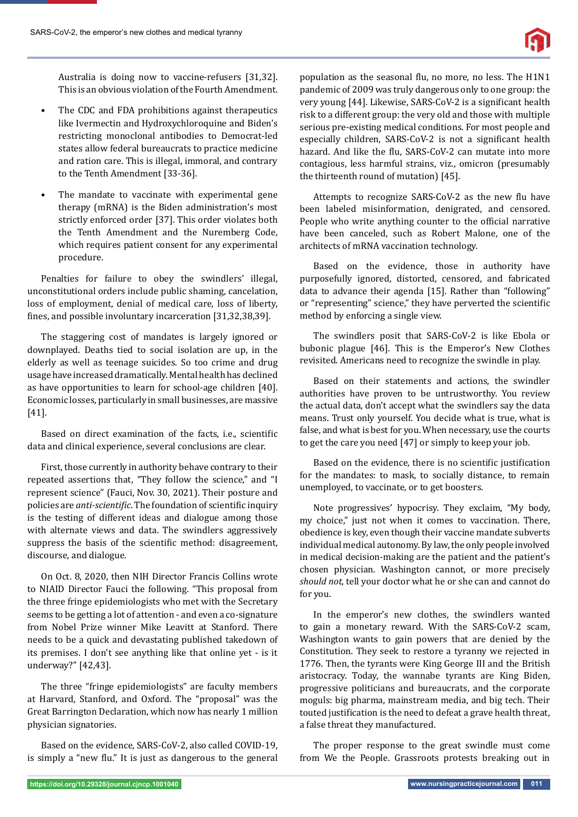

Australia is doing now to vaccine-refusers [31,32]. This is an obvious violation of the Fourth Amendment.

- The CDC and FDA prohibitions against therapeutics like Ivermectin and Hydroxychloroquine and Biden's restricting monoclonal antibodies to Democrat-led states allow federal bureaucrats to practice medicine and ration care. This is illegal, immoral, and contrary to the Tenth Amendment [33-36].
- The mandate to vaccinate with experimental gene therapy (mRNA) is the Biden administration's most strictly enforced order [37]. This order violates both the Tenth Amendment and the Nuremberg Code, which requires patient consent for any experimental procedure.

Penalties for failure to obey the swindlers' illegal, unconstitutional orders include public shaming, cancelation, loss of employment, denial of medical care, loss of liberty, fines, and possible involuntary incarceration [31,32,38,39].

The staggering cost of mandates is largely ignored or downplayed. Deaths tied to social isolation are up, in the elderly as well as teenage suicides. So too crime and drug usage have increased dramatically. Mental health has declined as have opportunities to learn for school-age children [40]. Economic losses, particularly in small businesses, are massive [41].

Based on direct examination of the facts, i.e., scientific data and clinical experience, several conclusions are clear.

First, those currently in authority behave contrary to their repeated assertions that, "They follow the science," and "I represent science" (Fauci, Nov. 30, 2021). Their posture and policies are *anti-scientific*. The foundation of scientific inquiry is the testing of different ideas and dialogue among those with alternate views and data. The swindlers aggressively suppress the basis of the scientific method: disagreement, discourse, and dialogue.

On Oct. 8, 2020, then NIH Director Francis Collins wrote to NIAID Director Fauci the following. "This proposal from the three fringe epidemiologists who met with the Secretary seems to be getting a lot of attention - and even a co-signature from Nobel Prize winner Mike Leavitt at Stanford. There needs to be a quick and devastating published takedown of its premises. I don't see anything like that online yet - is it underway?" [42,43].

The three "fringe epidemiologists" are faculty members at Harvard, Stanford, and Oxford. The "proposal" was the Great Barrington Declaration, which now has nearly 1 million physician signatories.

Based on the evidence, SARS-CoV-2, also called COVID-19, is simply a "new flu." It is just as dangerous to the general population as the seasonal flu, no more, no less. The H1N1 pandemic of 2009 was truly dangerous only to one group: the very young [44]. Likewise, SARS-CoV-2 is a significant health risk to a different group: the very old and those with multiple serious pre-existing medical conditions. For most people and especially children, SARS-CoV-2 is not a significant health hazard. And like the flu, SARS-CoV-2 can mutate into more contagious, less harmful strains, viz., omicron (presumably the thirteenth round of mutation) [45].

Attempts to recognize SARS-CoV-2 as the new flu have been labeled misinformation, denigrated, and censored. People who write anything counter to the official narrative have been canceled, such as Robert Malone, one of the architects of mRNA vaccination technology.

Based on the evidence, those in authority have purposefully ignored, distorted, censored, and fabricated data to advance their agenda [15]. Rather than "following" or "representing" science," they have perverted the scientific method by enforcing a single view.

The swindlers posit that SARS-CoV-2 is like Ebola or bubonic plague [46]. This is the Emperor's New Clothes revisited. Americans need to recognize the swindle in play.

Based on their statements and actions, the swindler authorities have proven to be untrustworthy. You review the actual data, don't accept what the swindlers say the data means. Trust only yourself. You decide what is true, what is false, and what is best for you. When necessary, use the courts to get the care you need [47] or simply to keep your job.

Based on the evidence, there is no scientific justification for the mandates: to mask, to socially distance, to remain unemployed, to vaccinate, or to get boosters.

Note progressives' hypocrisy. They exclaim, "My body, my choice," just not when it comes to vaccination. There, obedience is key, even though their vaccine mandate subverts individual medical autonomy. By law, the only people involved in medical decision-making are the patient and the patient's chosen physician. Washington cannot, or more precisely *should not*, tell your doctor what he or she can and cannot do for you.

In the emperor's new clothes, the swindlers wanted to gain a monetary reward. With the SARS-CoV-2 scam, Washington wants to gain powers that are denied by the Constitution. They seek to restore a tyranny we rejected in 1776. Then, the tyrants were King George III and the British aristocracy. Today, the wannabe tyrants are King Biden, progressive politicians and bureaucrats, and the corporate moguls: big pharma, mainstream media, and big tech. Their touted justification is the need to defeat a grave health threat, a false threat they manufactured.

The proper response to the great swindle must come from We the People. Grassroots protests breaking out in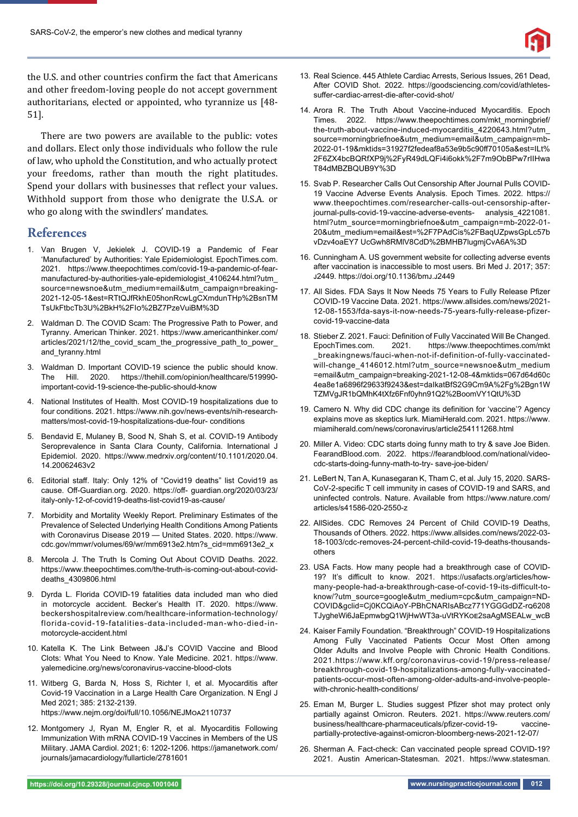

the U.S. and other countries confirm the fact that Americans and other freedom-loving people do not accept government authoritarians, elected or appointed, who tyrannize us [48- 51].

There are two powers are available to the public: votes and dollars. Elect only those individuals who follow the rule of law, who uphold the Constitution, and who actually protect your freedoms, rather than mouth the right platitudes. Spend your dollars with businesses that reflect your values. Withhold support from those who denigrate the U.S.A. or who go along with the swindlers' mandates.

## **References**

- 1. Van Brugen V, Jekielek J. COVID-19 a Pandemic of Fear 'Manufactured' by Authorities: Yale Epidemiologist. EpochTimes.com. 2021. https://www.theepochtimes.com/covid-19-a-pandemic-of-fearmanufactured-by-authorities-yale-epidemiologist\_4106244.html?utm\_ source=newsnoe&utm\_medium=email&utm\_campaign=breaking-2021-12-05-1&est=RTtQJfRkhE05honRcwLgCXmdunTHp%2BsnTM TsUkFtbcTb3U%2BkH%2FI%2BZ7PzeVuiBM%3D
- 2. Waldman D. The COVID Scam: The Progressive Path to Power, and Tyranny. American Thinker. 2021. https://www.americanthinker.com/ articles/2021/12/the\_covid\_scam\_the\_progressive\_path\_to\_power\_ and\_tyranny.html
- 3. Waldman D. Important COVID-19 science the public should know. The Hill. 2020. https://thehill.com/opinion/healthcare/519990 important-covid-19-science-the-public-should-know
- 4. National Institutes of Health. Most COVID-19 hospitalizations due to four conditions. 2021. https://www.nih.gov/news-events/nih-researchmatters/most-covid-19-hospitalizations-due-four- conditions
- 5. Bendavid E, Mulaney B, Sood N, Shah S, et al. COVID-19 Antibody Seroprevalence in Santa Clara County, California. International J Epidemiol. 2020. https://www.medrxiv.org/content/10.1101/2020.04. 14.20062463v2
- 6. Editorial staff. Italy: Only 12% of "Covid19 deaths" list Covid19 as cause. Off-Guardian.org. 2020. https://off- quardian.org/2020/03/23/ italy-only-12-of-covid19-deaths-list-covid19-as-cause/
- 7. Morbidity and Mortality Weekly Report. Preliminary Estimates of the Prevalence of Selected Underlying Health Conditions Among Patients with Coronavirus Disease 2019 — United States. 2020. https://www. cdc.gov/mmwr/volumes/69/wr/mm6913e2.htm?s\_cid=mm6913e2\_x
- 8. Mercola J. The Truth Is Coming Out About COVID Deaths. 2022. https://www.theepochtimes.com/the-truth-is-coming-out-about-coviddeaths\_4309806.html
- 9. Dyrda L. Florida COVID-19 fatalities data included man who died in motorcycle accident. Becker's Health IT. 2020. https://www. beckershospitalreview.com/healthcare-information-technology/ florida-covid-19-fatalities-data-included-man-who-died-inmotorcycle-accident.html
- 10. Katella K. The Link Between J&J's COVID Vaccine and Blood Clots: What You Need to Know. Yale Medicine. 2021. https://www. yalemedicine.org/news/coronavirus-vaccine-blood-clots
- 11. Witberg G, Barda N, Hoss S, Richter I, et al. Myocarditis after Covid-19 Vaccination in a Large Health Care Organization. N Engl J Med 2021; 385: 2132-2139. https://www.nejm.org/doi/full/10.1056/NEJMoA2110737
- 12. Montgomery J, Ryan M, Engler R, et al. Myocarditis Following Immunization With mRNA COVID-19 Vaccines in Members of the US Military. JAMA Cardiol. 2021; 6: 1202-1206. https://jamanetwork.com/ journals/jamacardiology/fullarticle/2781601
- 13. Real Science. 445 Athlete Cardiac Arrests, Serious Issues, 261 Dead, After COVID Shot. 2022. https://goodsciencing.com/covid/athletessuffer-cardiac-arrest-die-after-covid-shot/
- 14. Arora R. The Truth About Vaccine-induced Myocarditis. Epoch Times. 2022. https://www.theepochtimes.com/mkt\_morningbrief/ the-truth-about-vaccine-induced-myocarditis\_4220643.html?utm\_ source=morningbriefnoe&utm\_medium=email&utm\_campaign=mb-2022-01-19&mktids=31927f2fedeaf8a53e9b5c90ff 70105a&est=ILt% 2F6ZX4bcBQRfXP9j%2FyR49dLQFi4i6okk%2F7m9ObBPw7rIIHwa T84dMBZBQUB9Y%3D
- 15. Svab P. Researcher Calls Out Censorship After Journal Pulls COVID-19 Vaccine Adverse Events Analysis. Epoch Times. 2022. https:// www.theepochtimes.com/researcher-calls-out-censorship-afterjournal-pulls-covid-19-vaccine-adverse-events- analysis\_4221081. html?utm\_source=morningbriefnoe&utm\_campaign=mb-2022-01- 20&utm\_medium=email&est=%2F7PAdCis%2FBaqUZpwsGpLc57b vDzv4oaEY7 UcGwh8RMlV8CdD%2BMHB7lugmjCvA6A%3D
- 16. Cunningham A. US government website for collecting adverse events after vaccination is inaccessible to most users. Bri Med J. 2017; 357: J2449. https://doi.org/10.1136/bmJ.J2449
- 17. All Sides. FDA Says It Now Needs 75 Years to Fully Release Pfizer COVID-19 Vaccine Data. 2021. https://www.allsides.com/news/2021- 12-08-1553/fda-says-it-now-needs-75-years-fully-release-pfizercovid-19-vaccine-data
- 18. Stieber Z. 2021. Fauci: Definition of Fully Vaccinated Will Be Changed. EpochTimes.com. 2021. https://www.theepochtimes.com/mkt \_breakingnews/fauci-when-not-if-definition-of-fully-vaccinatedwill-change\_4146012.html?utm\_source=newsnoe&utm\_medium =email&utm\_campaign=breaking-2021-12-08-4&mktids=067d64d60c 4ea8e1a6896f29633f9243&est=daIkatBfS2G9Cm9A%2Fg%2Bgn1W TZMVgJR1bQMhK4tXfz6Fnf0yhn91Q2%2BoomVY1QtU%3D
- 19. Camero N. Why did CDC change its definition for 'vaccine'? Agency explains move as skeptics lurk. MiamiHerald.com. 2021. https://www. miamiherald.com/news/coronavirus/article254111268.html
- 20. Miller A. Video: CDC starts doing funny math to try & save Joe Biden. FearandBlood.com. 2022. https://fearandblood.com/national/videocdc-starts-doing-funny-math-to-try- save-joe-biden/
- 21. LeBert N, Tan A, Kunasegaran K, Tham C, et al. July 15, 2020. SARS-CoV-2-specific T cell immunity in cases of COVID-19 and SARS, and uninfected controls. Nature. Available from https://www.nature.com/ articles/s41586-020-2550-z
- 22. AllSides. CDC Removes 24 Percent of Child COVID-19 Deaths, Thousands of Others. 2022. https://www.allsides.com/news/2022-03- 18-1003/cdc-removes-24-percent-child-covid-19-deaths-thousandsothers
- 23. USA Facts. How many people had a breakthrough case of COVID-19? It's difficult to know. 2021. https://usafacts.org/articles/howmany-people-had-a-breakthrough-case-of-covid-19-its-difficult-toknow/?utm\_source=google&utm\_medium=cpc&utm\_campaign=ND-COVID&gclid=Cj0KCQiAoY-PBhCNARIsABcz771YGGGdDZ-r6208 TJygheWi6JaEpmwbgQ1WjHwWT3a-uVtRYKoE2saAgMSEALw\_wcB
- 24. Kaiser Family Foundation. "Breakthrough" COVID-19 Hospitalizations Among Fully Vaccinated Patients Occur Most Often among Older Adults and Involve People with Chronic Health Conditions. 2021.https://www.kff.org/coronavirus-covid-19/press-release/ breakthrough-covid-19-hospitalizations-among-fully-vaccinatedpatients-occur-most-often-among-older-adults-and-involve-peoplewith-chronic-health-conditions/
- 25. Eman M, Burger L. Studies suggest Pfizer shot may protect only partially against Omicron. Reuters. 2021. https://www.reuters.com/ business/healthcare-pharmaceuticals/pfizer-covid-19- vaccinepartially-protective-against-omicron-bloomberg-news-2021-12-07/
- 26. Sherman A. Fact-check: Can vaccinated people spread COVID-19? 2021. Austin American-Statesman. 2021. https://www.statesman.